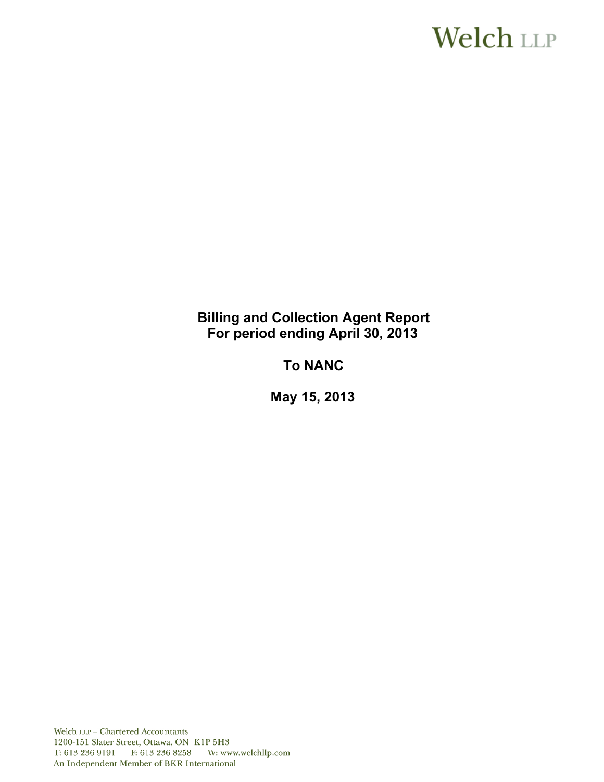# **Welch LLP**

### **Billing and Collection Agent Report For period ending April 30, 2013**

## **To NANC**

 **May 15, 2013** 

Welch LLP - Chartered Accountants 1200-151 Slater Street, Ottawa, ON K1P 5H3 T: 613 236 9191 F: 613 236 8258 W: www.welchllp.com An Independent Member of BKR International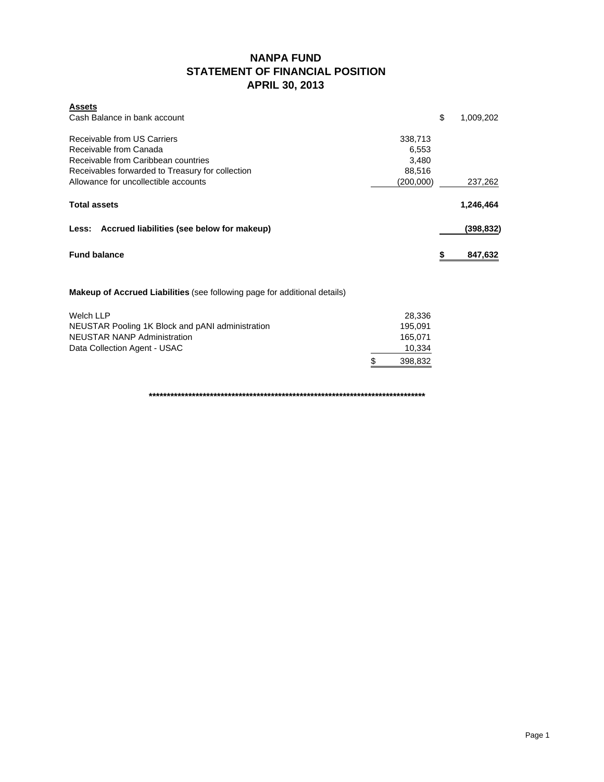### **NANPA FUND STATEMENT OF FINANCIAL POSITION APRIL 30, 2013**

| <b>Assets</b>                                                                    |           |    |           |
|----------------------------------------------------------------------------------|-----------|----|-----------|
| Cash Balance in bank account                                                     |           | \$ | 1,009,202 |
| Receivable from US Carriers                                                      | 338,713   |    |           |
| Receivable from Canada                                                           | 6,553     |    |           |
| Receivable from Caribbean countries                                              | 3,480     |    |           |
| Receivables forwarded to Treasury for collection                                 | 88,516    |    |           |
| Allowance for uncollectible accounts                                             | (200,000) |    | 237,262   |
| <b>Total assets</b>                                                              |           |    | 1,246,464 |
| Less: Accrued liabilities (see below for makeup)                                 |           |    | (398,832) |
| <b>Fund balance</b>                                                              |           | 5  | 847,632   |
| <b>Makeup of Accrued Liabilities</b> (see following page for additional details) |           |    |           |
| Welch LLP                                                                        | 28,336    |    |           |

| Welch LLP                                        | 28.336  |
|--------------------------------------------------|---------|
| NEUSTAR Pooling 1K Block and pANI administration | 195.091 |
| NEUSTAR NANP Administration                      | 165.071 |
| Data Collection Agent - USAC                     | 10,334  |
|                                                  | 398.832 |

**\*\*\*\*\*\*\*\*\*\*\*\*\*\*\*\*\*\*\*\*\*\*\*\*\*\*\*\*\*\*\*\*\*\*\*\*\*\*\*\*\*\*\*\*\*\*\*\*\*\*\*\*\*\*\*\*\*\*\*\*\*\*\*\*\*\*\*\*\*\*\*\*\*\*\*\*\***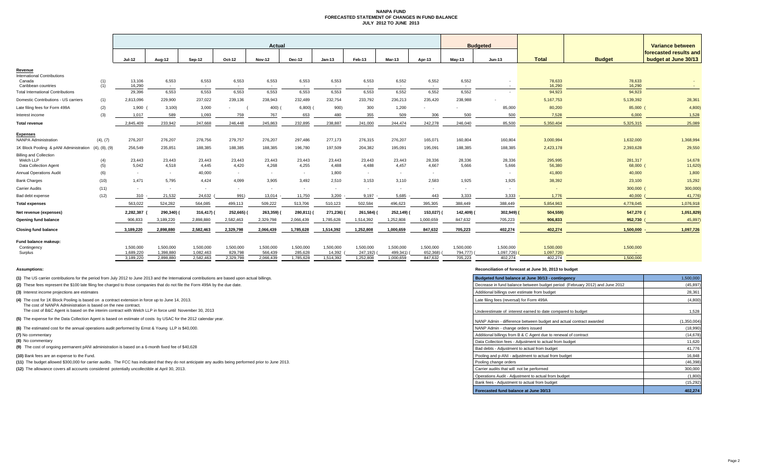### **NANPA FUND FORECASTED STATEMENT OF CHANGES IN FUND BALANCE JULY 2012 TO JUNE 2013**

|                                                                     |               |                        |                        |                          |                      | <b>Actual</b>        |                         |                     |                       |                       |                          |                       | <b>Budgeted</b>         |                         |                     | Variance between                               |
|---------------------------------------------------------------------|---------------|------------------------|------------------------|--------------------------|----------------------|----------------------|-------------------------|---------------------|-----------------------|-----------------------|--------------------------|-----------------------|-------------------------|-------------------------|---------------------|------------------------------------------------|
|                                                                     |               | Jul-12                 | Aug-12                 | Sep-12                   | Oct-12               | <b>Nov-12</b>        | <b>Dec-12</b>           | $Jan-13$            | Feb-13                | Mar-13                | Apr-13                   | $Mav-13$              | Jun-13                  | <b>Total</b>            | <b>Budget</b>       | forecasted results and<br>budget at June 30/13 |
| Revenue<br><b>International Contributions</b><br>Canada             | (1)           | 13,106                 | 6,553                  | 6,553                    | 6,553                | 6,553                | 6,553                   | 6,553               | 6,553                 | 6,552                 | 6,552                    | 6,552                 |                         | 78,633<br>16,290        | 78,633              |                                                |
| Caribbean countries<br><b>Total International Contributions</b>     | (1)           | 16,290<br>29,396       | $\sim$<br>6,553        | $\sim$<br>6,553          | $\sim$<br>6,553      | $\sim$<br>6,553      | $\sim 10^{-1}$<br>6,553 | $\sim$<br>6,553     | $\sim$<br>6,553       | $\sim$<br>6,552       | $\sim$<br>6,552          | $\sim$<br>6,552       |                         | 94,923                  | 16,290<br>94,923    | $\sim$ $-$                                     |
| Domestic Contributions - US carriers                                | (1)           | 2,813,096              | 229,900                | 237,022                  | 239,136              | 238,943              | 232.489                 | 232,754             | 233,792               | 236,213               | 235.420                  | 238,988               |                         | 5,167,753               | 5,139,392           | 28,361                                         |
| Late filing fees for Form 499A                                      | (2)           | 1,900                  | 3,100                  | 3,000                    |                      | 400)                 | 6,800                   | 900)                | 300                   | 1,200                 |                          |                       | 85,000                  | 80,200                  | 85,000 (            | 4,800                                          |
| Interest income                                                     | (3)           | 1,017                  | 589                    | 1,093                    | 759                  | 767                  | 653                     | 480                 | 355                   | 509                   | 306                      | 500                   | 500                     | 7,528                   | 6,000               | 1,528                                          |
| <b>Total revenue</b>                                                |               | 2.845.409              | 233.942                | 247,668                  | 246,448              | 245.863              | 232.895                 | 238,887             | 241,000               | 244,474               | 242.278                  | 246.040               | 85,500                  | 5,350,404               | 5,325,315           | 25,089                                         |
| <b>Expenses</b><br>NANPA Administration                             | (4), (7)      | 276,207                | 276,207                | 278,756                  | 279,757              | 276,207              | 297,486                 | 277,173             | 276,315               | 276,207               | 165,071                  | 160,804               | 160,804                 | 3,000,994               | 1,632,000           | 1,368,994                                      |
| 1K Block Pooling & pANI Administration                              | (4), (8), (9) | 256,549                | 235,851                | 188,385                  | 188,385              | 188,385              | 196,780                 | 197,509             | 204,382               | 195,091               | 195,091                  | 188,385               | 188,385                 | 2,423,178               | 2,393,628           | 29,550                                         |
| <b>Billing and Collection</b><br>Welch LLP<br>Data Collection Agent | (4)<br>(5)    | 23,443<br>5.042        | 23,443<br>4,518        | 23,443<br>4,445          | 23,443<br>4,420      | 23,443<br>4,268      | 23,443<br>4,255         | 23,443<br>4.488     | 23,443<br>4,488       | 23,443<br>4,457       | 28,336<br>4,667          | 28,336<br>5.666       | 28,336<br>5,666         | 295,995<br>56,380       | 281,317<br>68,000 ( | 14,678<br>11,620                               |
| <b>Annual Operations Audit</b>                                      | (6)           | $\sim$                 | $\sim$                 | 40,000                   | <b>COL</b>           | $\sim$               | $\sim$                  | 1.800               | $\sim$                | <b>COL</b>            | $\sim$                   |                       |                         | 41,800                  | 40,000              | 1,800                                          |
| <b>Bank Charges</b>                                                 | (10)          | 1.471                  | 5,795                  | 4,424                    | 4,099                | 3.905                | 3,492                   | 2,510               | 3,153                 | 3,110                 | 2.583                    | 1,925                 | 1,925                   | 38,392                  | 23,100              | 15,292                                         |
| <b>Carrier Audits</b>                                               | (11)          | $\sim$                 |                        | $\overline{\phantom{a}}$ | $\sim$               | $\sim$               | $\sim$                  | х.                  | $\sim$                | $\sim$                | $\overline{\phantom{a}}$ | $\sim$                |                         |                         | 300,000 (           | 300,000                                        |
| Bad debt expense                                                    | (12)          | 310                    | 21,532                 | 24,632                   | 991)                 | 13,014               | 11,750                  | 3,200               | 9,197                 | 5,685                 | 443                      | 3,333                 | 3,333                   | 1,776                   | 40,000              | 41,776                                         |
| <b>Total expenses</b>                                               |               | 563,022                | 524,282                | 564,085                  | 499,113              | 509,222              | 513,706                 | 510,123             | 502,584               | 496,623               | 395,305                  | 388,449               | 388,449                 | 5,854,963               | 4,778,045           | 1,076,918                                      |
| Net revenue (expenses)                                              |               | 2,282,387              | 290,340)               | 316,417)                 | 252,665)             | 263,359)             | 280,811)                | 271,236)            | 261,584)              | 252,149)              | 153,027)                 | 142,409) (            | 302,949)                | 504,559)                | 547,270 (           | 1,051,829)                                     |
| Opening fund balance                                                |               | 906.833                | 3,189,220              | 2.898.880                | 2,582,463            | 2,329,798            | 2,066,439               | 1,785,628           | 1,514,392             | 1,252,808             | 1,000,659                | 847,632               | 705,223                 | 906,833                 | 952,730             | 45,897                                         |
| <b>Closing fund balance</b>                                         |               | 3,189,220              | 2,898,880              | 2,582,463                | 2,329,798            | 2,066,439            | 1.785.628               | 1,514,392           | 1,252,808             | 1,000,659             | 847,632                  | 705,223               | 402,274                 | 402,274                 | 1,500,000           | 1,097,726                                      |
| Fund balance makeup:<br>Contingency<br>Surplus                      |               | 1,500,000<br>1,689,220 | 1,500,000<br>1,398,880 | 1,500,000<br>1,082,463   | 1,500,000<br>829,798 | 1,500,000<br>566,439 | 1,500,000<br>285,628    | 1,500,000<br>14.392 | 1,500,000<br>247,192) | 1,500,000<br>499,341) | 1,500,000<br>652,368)    | 1,500,000<br>794,777) | 1,500,000<br>1,097,726) | 1,500,000<br>1,097,726) | 1,500,000<br>$\sim$ |                                                |
|                                                                     |               | 3,189,220              | 2,898,880              | 2,582,463                | 2,329,798            | 2,066,439            | 1,785,628               | 1,514,392           | 1,252,808             | 1,000,659             | 847,632                  | 705,223               | 402,274                 | 402,274                 | 1,500,000           |                                                |

**(8)** No commentary

#### **Assumptions: Reconciliation of forecast at June 30, 2013 to budget**

| (1) The US carrier contributions for the period from July 2012 to June 2013 and the International contributions are based upon actual billings.                    | Budgeted fund balance at June 30/13 - contingency                            | 1,500,000   |
|--------------------------------------------------------------------------------------------------------------------------------------------------------------------|------------------------------------------------------------------------------|-------------|
| (2) These fees represent the \$100 late filing fee charged to those companies that do not file the Form 499A by the due date.                                      | Decrease in fund balance between budget period (February 2012) and June 2012 | (45, 897)   |
| (3) Interest income projections are estimates                                                                                                                      | Additional billings over estimate from budget                                | 28,361      |
| (4) The cost for 1K Block Pooling is based on a contract extension in force up to June 14, 2013.<br>The cost of NANPA Administration is based on the new contract. | Late filing fees (reversal) for Form 499A                                    | (4,800)     |
| The cost of B&C Agent is based on the interim contract with Welch LLP in force until November 30, 2013                                                             | Underestimate of interest earned to date compared to budget                  | 1,528       |
| (5) The expense for the Data Collection Agent is based on estimate of costs by USAC for the 2012 calendar year.                                                    | NANP Admin - difference between budget and actual contract awarded           | (1.350.004) |
| (6) The estimated cost for the annual operations audit performed by Ernst & Young LLP is \$40,000.                                                                 | NANP Admin - change orders issued                                            | (18,990)    |
| (7) No commentary                                                                                                                                                  | Additional billings from B & C Agent due to renewal of contract              | (14, 678)   |
| (8) No commentary                                                                                                                                                  | Data Collection fees - Adiustment to actual from budget                      | 11,620      |
| (9) The cost of ongoing permanent pANI administration is based on a 6-month fixed fee of \$40,628                                                                  | Bad debts - Adjustment to actual from budget                                 | 41,776      |
| (10) Bank fees are an expense to the Fund.                                                                                                                         | Pooling and p-ANI - adjustment to actual from budget                         | 16,848      |
| (11) The budget allowed \$300,000 for carrier audits. The FCC has indicated that they do not anticipate any audits being performed prior to June 2013.             | Pooling change orders                                                        | (46, 398)   |
| (12) The allowance covers all accounts considered potentially uncollectible at April 30, 2013.                                                                     | Carrier audits that will not be performed                                    | 300,000     |
|                                                                                                                                                                    | Operations Audit - Adiustment to actual from budget                          | (1,800)     |
|                                                                                                                                                                    | Bank fees - Adjustment to actual from budget                                 | (15, 292)   |
|                                                                                                                                                                    | Forecasted fund balance at June 30/13                                        | 402.274     |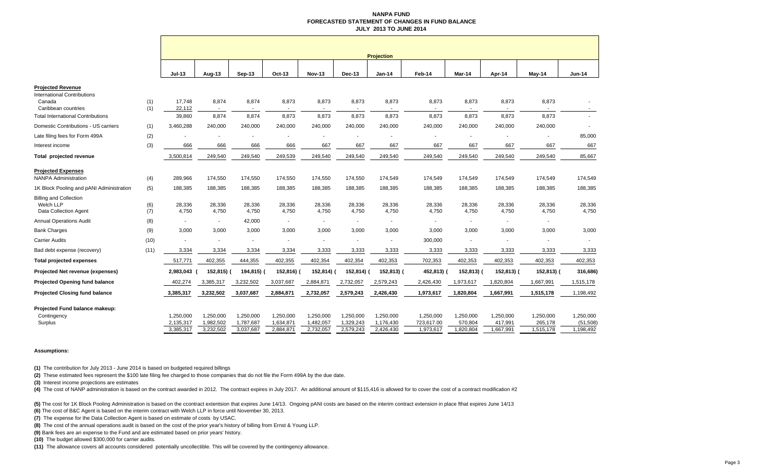#### **NANPA FUND FORECASTED STATEMENT OF CHANGES IN FUND BALANCE JULY 2013 TO JUNE 2014**

|                                          |            |                          |                          |                |                 |               |           | <b>Projection</b> |                          |                |                 |            |                          |
|------------------------------------------|------------|--------------------------|--------------------------|----------------|-----------------|---------------|-----------|-------------------|--------------------------|----------------|-----------------|------------|--------------------------|
|                                          |            | $Jul-13$                 | Aug-13                   | Sep-13         | Oct-13          | <b>Nov-13</b> | Dec-13    | <b>Jan-14</b>     | Feb-14                   | Mar-14         | Apr-14          | May-14     | <b>Jun-14</b>            |
| <b>Projected Revenue</b>                 |            |                          |                          |                |                 |               |           |                   |                          |                |                 |            |                          |
| <b>International Contributions</b>       |            |                          |                          |                |                 |               |           |                   |                          |                |                 |            |                          |
| Canada<br>Caribbean countries            | (1)<br>(1) | 17,748<br>22,112         | 8,874<br>$\sim$          | 8,874          | 8,873<br>$\sim$ | 8,873         | 8,873     | 8,873<br>$\sim$   | 8,873<br>$\sim$          | 8,873          | 8,873           | 8,873      |                          |
| <b>Total International Contributions</b> |            | 39,860                   | 8,874                    | 8,874          | 8,873           | 8,873         | 8,873     | 8,873             | 8,873                    | 8,873          | 8,873           | 8,873      |                          |
| Domestic Contributions - US carriers     | (1)        | 3,460,288                | 240,000                  | 240,000        | 240,000         | 240,000       | 240,000   | 240,000           | 240,000                  | 240,000        | 240,000         | 240,000    | $\overline{\phantom{a}}$ |
| Late filing fees for Form 499A           | (2)        |                          |                          |                |                 |               |           |                   | $\overline{\phantom{a}}$ |                |                 |            | 85,000                   |
| Interest income                          | (3)        | 666                      | 666                      | 666            | 666             | 667           | 667       | 667               | 667                      | 667            | 667             | 667        | 667                      |
| Total projected revenue                  |            | 3,500,814                | 249,540                  | 249,540        | 249,539         | 249,540       | 249,540   | 249,540           | 249,540                  | 249,540        | 249,540         | 249,540    | 85,667                   |
| <b>Projected Expenses</b>                |            |                          |                          |                |                 |               |           |                   |                          |                |                 |            |                          |
| <b>NANPA Administration</b>              | (4)        | 289.966                  | 174,550                  | 174,550        | 174,550         | 174,550       | 174,550   | 174.549           | 174,549                  | 174,549        | 174,549         | 174,549    | 174,549                  |
| 1K Block Pooling and pANI Administration | (5)        | 188,385                  | 188,385                  | 188,385        | 188,385         | 188,385       | 188,385   | 188,385           | 188,385                  | 188,385        | 188,385         | 188,385    | 188,385                  |
| <b>Billing and Collection</b>            |            |                          |                          |                |                 |               |           |                   |                          |                |                 |            |                          |
| Welch LLP                                | (6)        | 28,336<br>4,750          | 28,336                   | 28,336         | 28,336          | 28,336        | 28,336    | 28,336            | 28,336                   | 28,336         | 28,336<br>4,750 | 28,336     | 28,336<br>4,750          |
| Data Collection Agent                    | (7)        |                          | 4,750                    | 4,750          | 4,750           | 4,750         | 4,750     | 4,750             | 4,750                    | 4,750          |                 | 4,750      |                          |
| <b>Annual Operations Audit</b>           | (8)        | $\overline{\phantom{a}}$ | $\overline{\phantom{a}}$ | 42,000         | $\sim$          |               | $\sim$    | $\sim$            |                          | $\blacksquare$ |                 |            |                          |
| <b>Bank Charges</b>                      | (9)        | 3,000                    | 3,000                    | 3,000          | 3,000           | 3,000         | 3,000     | 3,000             | 3,000                    | 3,000          | 3,000           | 3,000      | 3,000                    |
| <b>Carrier Audits</b>                    | (10)       |                          |                          | $\overline{a}$ | ×               |               |           | ٠                 | 300,000                  |                |                 |            |                          |
| Bad debt expense (recovery)              | (11)       | 3,334                    | 3,334                    | 3,334          | 3,334           | 3,333         | 3,333     | 3,333             | 3,333                    | 3,333          | 3,333           | 3,333      | 3,333                    |
| <b>Total projected expenses</b>          |            | 517,771                  | 402,355                  | 444,355        | 402,355         | 402,354       | 402,354   | 402,353           | 702,353                  | 402,353        | 402,353         | 402,353    | 402,353                  |
| Projected Net revenue (expenses)         |            | 2,983,043                | 152,815) (               | 194,815) (     | 152,816) (      | 152,814)      | 152,814)  | 152,813) (        | 452,813)                 | 152,813) (     | 152,813) (      | 152,813) ( | 316,686)                 |
| <b>Projected Opening fund balance</b>    |            | 402,274                  | 3,385,317                | 3,232,502      | 3,037,687       | 2,884,871     | 2,732,057 | 2,579,243         | 2,426,430                | 1,973,617      | 1,820,804       | 1,667,991  | 1,515,178                |
| <b>Projected Closing fund balance</b>    |            | 3,385,317                | 3,232,502                | 3,037,687      | 2,884,871       | 2,732,057     | 2,579,243 | 2,426,430         | 1,973,617                | 1,820,804      | 1,667,991       | 1,515,178  | 1,198,492                |
| Projected Fund balance makeup:           |            |                          |                          |                |                 |               |           |                   |                          |                |                 |            |                          |
| Contingency                              |            | 1,250,000                | 1,250,000                | 1.250.000      | 1,250,000       | 1,250,000     | 1,250,000 | 1,250,000         | 1,250,000                | 1,250,000      | 1,250,000       | 1,250,000  | 1,250,000                |
| Surplus                                  |            | 2,135,317                | 1,982,502                | 1,787,687      | 1,634,871       | 1,482,057     | 1,329,243 | 1,176,430         | 723,617.00               | 570,804        | 417,991         | 265,178    | (51, 508)                |
|                                          |            | 3,385,317                | 3,232,502                | 3,037,687      | 2,884,871       | 2,732,057     | 2,579,243 | 2,426,430         | 1,973,617                | 1,820,804      | 1,667,991       | 1,515,178  | 1,198,492                |

#### **Assumptions:**

**(1)** The contribution for July 2013 - June 2014 is based on budgeted required billings

**(2)** These estimated fees represent the \$100 late filing fee charged to those companies that do not file the Form 499A by the due date.

**(3)** Interest income projections are estimates

(4) The cost of NANP administration is based on the contract awarded in 2012. The contract expires in July 2017. An additional amount of \$115,416 is allowed for to cover the cost of a contract modification #2

**(5)** The cost for 1K Block Pooling Administration is based on the ccontract extentsion that expires June 14/13. Ongoing pANI costs are based on the interim contract extension in place fthat expires June 14/13

**(6)** The cost of B&C Agent is based on the interim contract with Welch LLP in force until November 30, 2013.

**(7)** The expense for the Data Collection Agent is based on estimate of costs by USAC.

**(8)** The cost of the annual operations audit is based on the cost of the prior year's history of billing from Ernst & Young LLP.

**(9)** Bank fees are an expense to the Fund and are estimated based on prior years' history.

**(10)** The budget allowed \$300,000 for carrier audits.

**(11)** The allowance covers all accounts considered potentially uncollectible. This will be covered by the contingency allowance.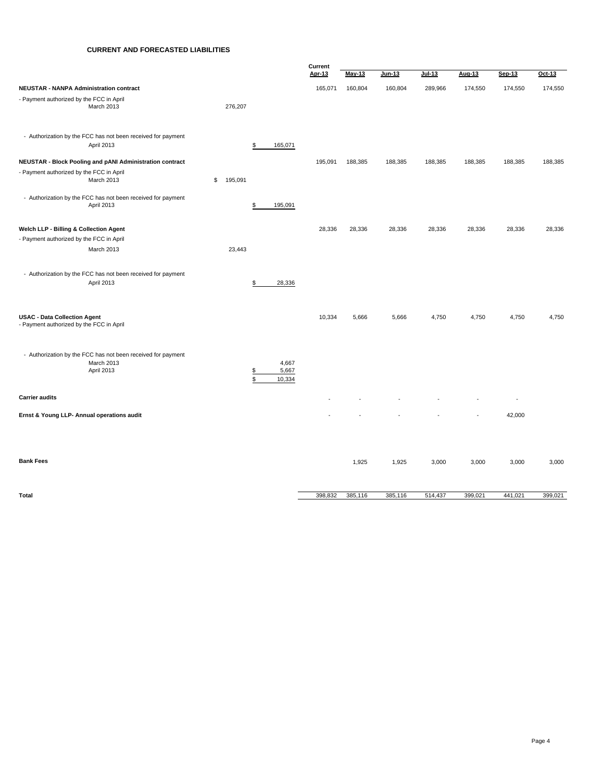### **CURRENT AND FORECASTED LIABILITIES**

|                                                                                          |               |                                                 | Current |               |         |          |         |         |         |  |
|------------------------------------------------------------------------------------------|---------------|-------------------------------------------------|---------|---------------|---------|----------|---------|---------|---------|--|
|                                                                                          |               |                                                 | Apr-13  | <b>May-13</b> | Jun-13  | $Jul-13$ | Aug-13  | Sep-13  | Oct-13  |  |
| <b>NEUSTAR - NANPA Administration contract</b>                                           |               |                                                 | 165,071 | 160,804       | 160,804 | 289,966  | 174,550 | 174,550 | 174,550 |  |
| - Payment authorized by the FCC in April<br>March 2013                                   | 276,207       |                                                 |         |               |         |          |         |         |         |  |
| - Authorization by the FCC has not been received for payment<br>April 2013               |               | \$<br>165,071                                   |         |               |         |          |         |         |         |  |
| NEUSTAR - Block Pooling and pANI Administration contract                                 |               |                                                 | 195,091 | 188,385       | 188,385 | 188,385  | 188,385 | 188,385 | 188,385 |  |
| - Payment authorized by the FCC in April<br>March 2013                                   | \$<br>195,091 |                                                 |         |               |         |          |         |         |         |  |
| - Authorization by the FCC has not been received for payment<br>April 2013               |               | \$<br>195,091                                   |         |               |         |          |         |         |         |  |
| Welch LLP - Billing & Collection Agent                                                   |               |                                                 | 28,336  | 28,336        | 28,336  | 28,336   | 28,336  | 28,336  | 28,336  |  |
| - Payment authorized by the FCC in April                                                 |               |                                                 |         |               |         |          |         |         |         |  |
| March 2013                                                                               | 23,443        |                                                 |         |               |         |          |         |         |         |  |
| - Authorization by the FCC has not been received for payment<br>April 2013               |               | 28,336<br>\$                                    |         |               |         |          |         |         |         |  |
| <b>USAC - Data Collection Agent</b><br>- Payment authorized by the FCC in April          |               |                                                 | 10,334  | 5,666         | 5,666   | 4,750    | 4,750   | 4,750   | 4,750   |  |
| - Authorization by the FCC has not been received for payment<br>March 2013<br>April 2013 |               | 4,667<br>5,667<br>$\frac{3}{2}$<br>\$<br>10,334 |         |               |         |          |         |         |         |  |
| <b>Carrier audits</b>                                                                    |               |                                                 |         |               |         |          |         | ÷,      |         |  |
| Ernst & Young LLP- Annual operations audit                                               |               |                                                 |         |               |         |          |         | 42,000  |         |  |
| <b>Bank Fees</b>                                                                         |               |                                                 |         | 1,925         | 1,925   | 3,000    | 3,000   | 3,000   | 3,000   |  |
| <b>Total</b>                                                                             |               |                                                 | 398,832 | 385,116       | 385,116 | 514,437  | 399,021 | 441,021 | 399,021 |  |